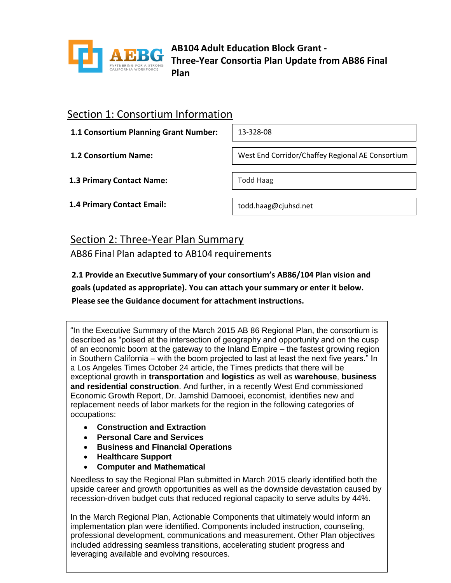

**AB104 Adult Education Block Grant - Three-Year Consortia Plan Update from AB86 Final Plan**

### Section 1: Consortium Information

**1.1 Consortium Planning Grant Number:**

13-328-08

**1.2 Consortium Name:**

West End Corridor/Chaffey Regional AE Consortium

**1.3 Primary Contact Name:**

Todd Haag

**1.4 Primary Contact Email:**

todd.haag@cjuhsd.net

## Section 2: Three-Year Plan Summary

AB86 Final Plan adapted to AB104 requirements

**2.1 Provide an Executive Summary of your consortium's AB86/104 Plan vision and goals (updated as appropriate). You can attach your summary or enter it below. Please see the Guidance document for attachment instructions.** 

"In the Executive Summary of the March 2015 AB 86 Regional Plan, the consortium is described as "poised at the intersection of geography and opportunity and on the cusp of an economic boom at the gateway to the Inland Empire – the fastest growing region in Southern California – with the boom projected to last at least the next five years." In a Los Angeles Times October 24 article, the Times predicts that there will be exceptional growth in **transportation** and **logistics** as well as **warehouse**, **business and residential construction**. And further, in a recently West End commissioned Economic Growth Report, Dr. Jamshid Damooei, economist, identifies new and replacement needs of labor markets for the region in the following categories of occupations:

- **Construction and Extraction**
- **Personal Care and Services**
- **Business and Financial Operations**
- **Healthcare Support**
- **Computer and Mathematical**

Needless to say the Regional Plan submitted in March 2015 clearly identified both the upside career and growth opportunities as well as the downside devastation caused by recession-driven budget cuts that reduced regional capacity to serve adults by 44%.

In the March Regional Plan, Actionable Components that ultimately would inform an implementation plan were identified. Components included instruction, counseling, professional development, communications and measurement. Other Plan objectives included addressing seamless transitions, accelerating student progress and leveraging available and evolving resources.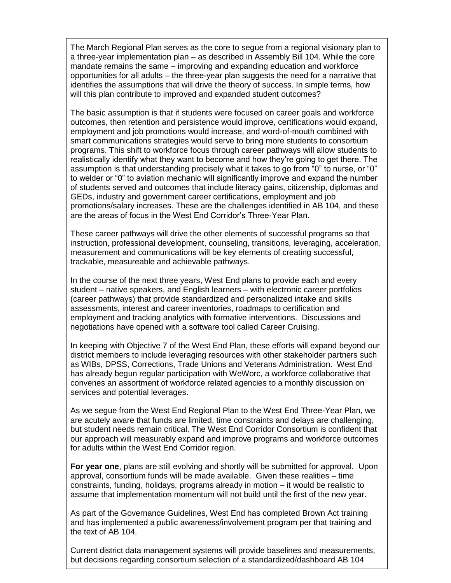The March Regional Plan serves as the core to segue from a regional visionary plan to a three-year implementation plan – as described in Assembly Bill 104. While the core mandate remains the same – improving and expanding education and workforce opportunities for all adults – the three-year plan suggests the need for a narrative that identifies the assumptions that will drive the theory of success. In simple terms, how will this plan contribute to improved and expanded student outcomes?

The basic assumption is that if students were focused on career goals and workforce outcomes, then retention and persistence would improve, certifications would expand, employment and job promotions would increase, and word-of-mouth combined with smart communications strategies would serve to bring more students to consortium programs. This shift to workforce focus through career pathways will allow students to realistically identify what they want to become and how they're going to get there. The assumption is that understanding precisely what it takes to go from "0" to nurse, or "0" to welder or "0" to aviation mechanic will significantly improve and expand the number of students served and outcomes that include literacy gains, citizenship, diplomas and GEDs, industry and government career certifications, employment and job promotions/salary increases. These are the challenges identified in AB 104, and these are the areas of focus in the West End Corridor's Three-Year Plan.

These career pathways will drive the other elements of successful programs so that instruction, professional development, counseling, transitions, leveraging, acceleration, measurement and communications will be key elements of creating successful, trackable, measureable and achievable pathways.

In the course of the next three years, West End plans to provide each and every student – native speakers, and English learners – with electronic career portfolios (career pathways) that provide standardized and personalized intake and skills assessments, interest and career inventories, roadmaps to certification and employment and tracking analytics with formative interventions. Discussions and negotiations have opened with a software tool called Career Cruising.

In keeping with Objective 7 of the West End Plan, these efforts will expand beyond our district members to include leveraging resources with other stakeholder partners such as WIBs, DPSS, Corrections, Trade Unions and Veterans Administration. West End has already begun regular participation with WeWorc, a workforce collaborative that convenes an assortment of workforce related agencies to a monthly discussion on services and potential leverages.

As we segue from the West End Regional Plan to the West End Three-Year Plan, we are acutely aware that funds are limited, time constraints and delays are challenging, but student needs remain critical. The West End Corridor Consortium is confident that our approach will measurably expand and improve programs and workforce outcomes for adults within the West End Corridor region.

**For year one**, plans are still evolving and shortly will be submitted for approval. Upon approval, consortium funds will be made available. Given these realities – time constraints, funding, holidays, programs already in motion – it would be realistic to assume that implementation momentum will not build until the first of the new year.

As part of the Governance Guidelines, West End has completed Brown Act training and has implemented a public awareness/involvement program per that training and the text of AB 104.

Current district data management systems will provide baselines and measurements, but decisions regarding consortium selection of a standardized/dashboard AB 104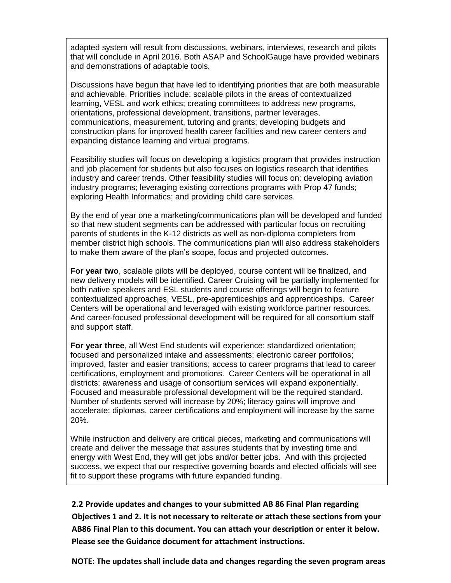adapted system will result from discussions, webinars, interviews, research and pilots that will conclude in April 2016. Both ASAP and SchoolGauge have provided webinars and demonstrations of adaptable tools.

Discussions have begun that have led to identifying priorities that are both measurable and achievable. Priorities include: scalable pilots in the areas of contextualized learning, VESL and work ethics; creating committees to address new programs, orientations, professional development, transitions, partner leverages, communications, measurement, tutoring and grants; developing budgets and construction plans for improved health career facilities and new career centers and expanding distance learning and virtual programs.

Feasibility studies will focus on developing a logistics program that provides instruction and job placement for students but also focuses on logistics research that identifies industry and career trends. Other feasibility studies will focus on: developing aviation industry programs; leveraging existing corrections programs with Prop 47 funds; exploring Health Informatics; and providing child care services.

By the end of year one a marketing/communications plan will be developed and funded so that new student segments can be addressed with particular focus on recruiting parents of students in the K-12 districts as well as non-diploma completers from member district high schools. The communications plan will also address stakeholders to make them aware of the plan's scope, focus and projected outcomes.

**For year two**, scalable pilots will be deployed, course content will be finalized, and new delivery models will be identified. Career Cruising will be partially implemented for both native speakers and ESL students and course offerings will begin to feature contextualized approaches, VESL, pre-apprenticeships and apprenticeships. Career Centers will be operational and leveraged with existing workforce partner resources. And career-focused professional development will be required for all consortium staff and support staff.

**For year three**, all West End students will experience: standardized orientation; focused and personalized intake and assessments; electronic career portfolios; improved, faster and easier transitions; access to career programs that lead to career certifications, employment and promotions. Career Centers will be operational in all districts; awareness and usage of consortium services will expand exponentially. Focused and measurable professional development will be the required standard. Number of students served will increase by 20%; literacy gains will improve and accelerate; diplomas, career certifications and employment will increase by the same 20%.

While instruction and delivery are critical pieces, marketing and communications will create and deliver the message that assures students that by investing time and energy with West End, they will get jobs and/or better jobs. And with this projected success, we expect that our respective governing boards and elected officials will see fit to support these programs with future expanded funding.

**2.2 Provide updates and changes to your submitted AB 86 Final Plan regarding Objectives 1 and 2. It is not necessary to reiterate or attach these sections from your AB86 Final Plan to this document. You can attach your description or enter it below. Please see the Guidance document for attachment instructions.**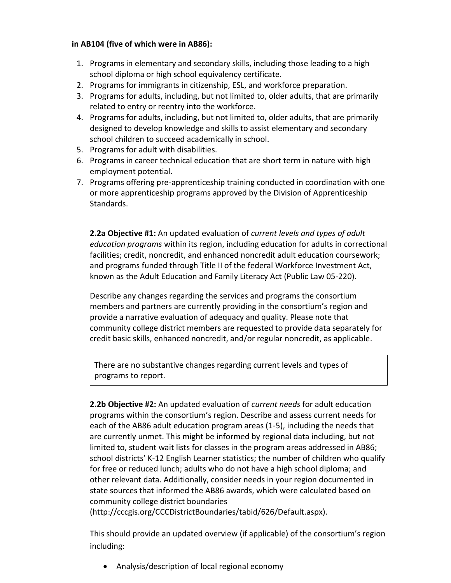#### **in AB104 (five of which were in AB86):**

- 1. Programs in elementary and secondary skills, including those leading to a high school diploma or high school equivalency certificate.
- 2. Programs for immigrants in citizenship, ESL, and workforce preparation.
- 3. Programs for adults, including, but not limited to, older adults, that are primarily related to entry or reentry into the workforce.
- 4. Programs for adults, including, but not limited to, older adults, that are primarily designed to develop knowledge and skills to assist elementary and secondary school children to succeed academically in school.
- 5. Programs for adult with disabilities.
- 6. Programs in career technical education that are short term in nature with high employment potential.
- 7. Programs offering pre-apprenticeship training conducted in coordination with one or more apprenticeship programs approved by the Division of Apprenticeship Standards.

**2.2a Objective #1:** An updated evaluation of *current levels and types of adult education programs* within its region, including education for adults in correctional facilities; credit, noncredit, and enhanced noncredit adult education coursework; and programs funded through Title II of the federal Workforce Investment Act, known as the Adult Education and Family Literacy Act (Public Law 05-220).

Describe any changes regarding the services and programs the consortium members and partners are currently providing in the consortium's region and provide a narrative evaluation of adequacy and quality. Please note that community college district members are requested to provide data separately for credit basic skills, enhanced noncredit, and/or regular noncredit, as applicable.

There are no substantive changes regarding current levels and types of programs to report.

**2.2b Objective #2:** An updated evaluation of *current needs* for adult education programs within the consortium's region. Describe and assess current needs for each of the AB86 adult education program areas (1-5), including the needs that are currently unmet. This might be informed by regional data including, but not limited to, student wait lists for classes in the program areas addressed in AB86; school districts' K-12 English Learner statistics; the number of children who qualify for free or reduced lunch; adults who do not have a high school diploma; and other relevant data. Additionally, consider needs in your region documented in state sources that informed the AB86 awards, which were calculated based on community college district boundaries

(http://cccgis.org/CCCDistrictBoundaries/tabid/626/Default.aspx).

This should provide an updated overview (if applicable) of the consortium's region including:

Analysis/description of local regional economy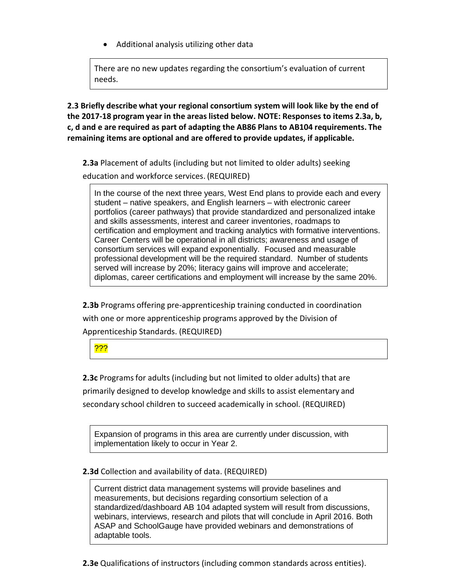Additional analysis utilizing other data

There are no new updates regarding the consortium's evaluation of current needs.

**2.3 Briefly describe what your regional consortium system will look like by the end of the 2017-18 program year in the areas listed below. NOTE: Responses to items 2.3a, b, c, d and e are required as part of adapting the AB86 Plans to AB104 requirements. The remaining items are optional and are offered to provide updates, if applicable.**

**2.3a** Placement of adults (including but not limited to older adults) seeking

education and workforce services. (REQUIRED)

In the course of the next three years, West End plans to provide each and every student – native speakers, and English learners – with electronic career portfolios (career pathways) that provide standardized and personalized intake and skills assessments, interest and career inventories, roadmaps to certification and employment and tracking analytics with formative interventions. Career Centers will be operational in all districts; awareness and usage of consortium services will expand exponentially. Focused and measurable professional development will be the required standard. Number of students served will increase by 20%; literacy gains will improve and accelerate; diplomas, career certifications and employment will increase by the same 20%.

**2.3b** Programs offering pre-apprenticeship training conducted in coordination with one or more apprenticeship programs approved by the Division of Apprenticeship Standards. (REQUIRED)

???

**2.3c** Programs for adults (including but not limited to older adults) that are primarily designed to develop knowledge and skills to assist elementary and secondary school children to succeed academically in school. (REQUIRED)

Expansion of programs in this area are currently under discussion, with implementation likely to occur in Year 2.

#### **2.3d** Collection and availability of data. (REQUIRED)

Current district data management systems will provide baselines and measurements, but decisions regarding consortium selection of a standardized/dashboard AB 104 adapted system will result from discussions, webinars, interviews, research and pilots that will conclude in April 2016. Both ASAP and SchoolGauge have provided webinars and demonstrations of adaptable tools.

**2.3e** Qualifications of instructors (including common standards across entities).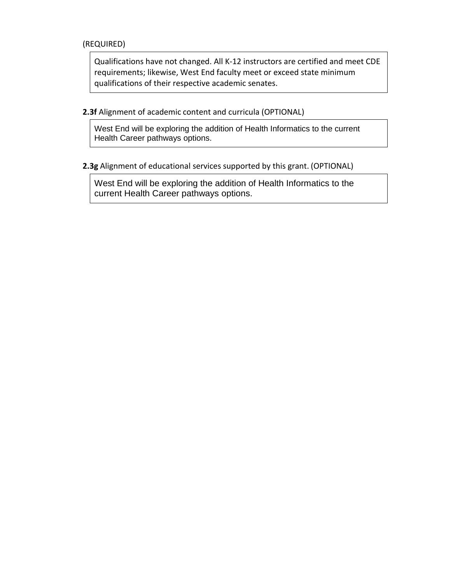(REQUIRED)

Qualifications have not changed. All K-12 instructors are certified and meet CDE requirements; likewise, West End faculty meet or exceed state minimum qualifications of their respective academic senates.

**2.3f** Alignment of academic content and curricula (OPTIONAL)

West End will be exploring the addition of Health Informatics to the current Health Career pathways options.

**2.3g** Alignment of educational services supported by this grant. (OPTIONAL)

West End will be exploring the addition of Health Informatics to the current Health Career pathways options.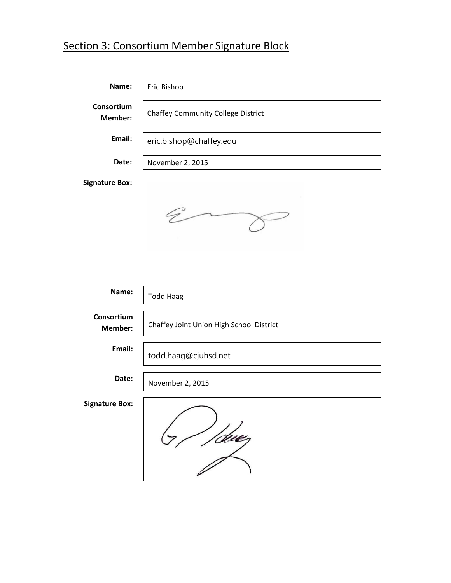# Section 3: Consortium Member Signature Block

| Name:                        | Eric Bishop                               |
|------------------------------|-------------------------------------------|
| Consortium<br><b>Member:</b> | <b>Chaffey Community College District</b> |
| Email:                       | eric.bishop@chaffey.edu                   |
| Date:                        | November 2, 2015                          |
| <b>Signature Box:</b>        |                                           |
|                              |                                           |

| Name:                 | <b>Todd Haag</b>                         |
|-----------------------|------------------------------------------|
| Consortium<br>Member: | Chaffey Joint Union High School District |
| Email:                | todd.haag@cjuhsd.net                     |
| Date:                 | November 2, 2015                         |
| <b>Signature Box:</b> |                                          |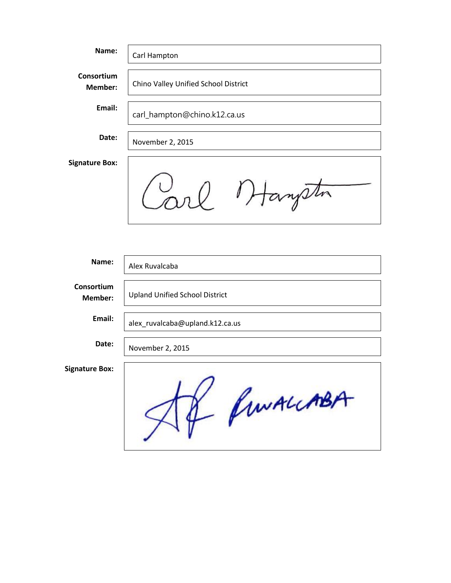| Name:                 | Carl Hampton                          |
|-----------------------|---------------------------------------|
| Consortium<br>Member: | Chino Valley Unified School District  |
| Email:                | carl_hampton@chino.k12.ca.us          |
| Date:                 | November 2, 2015                      |
| <b>Signature Box:</b> |                                       |
|                       | tangelin                              |
|                       |                                       |
| Name:                 | Alex Ruvalcaba                        |
| Consortium<br>Member: | <b>Upland Unified School District</b> |
| Email:                | alex ruvalcaba@upland.k12.ca.us       |
| Date:                 | November 2, 2015                      |
| <b>Signature Box:</b> | Af funALLABA                          |